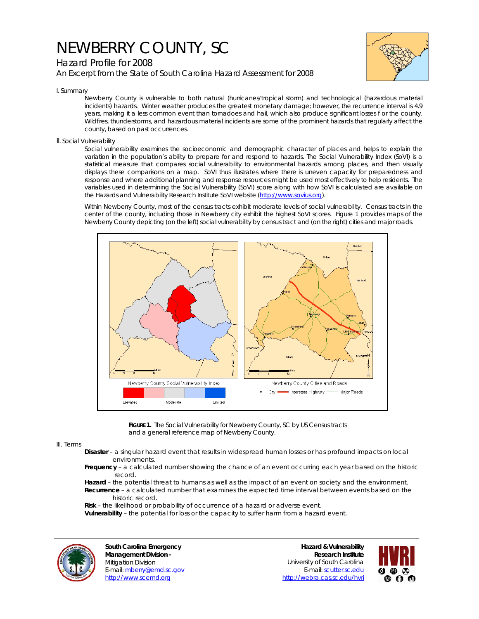## NEWBERRY COUNTY, SC





I. Summary

Newberry County is vulnerable to both natural (hurricanes/tropical storm) and technological (hazardous material incidents) hazards. Winter weather produces the greatest monetary damage; however, the recurrence interval is 4.9 years, making it a less common event than tornadoes and hail, which also produce significant losses f or the county. Wildfires, thunderstorms, and hazardous material incidents are some of the prominent hazards that regularly affect the county, based on past occurrences.

## II. Social Vulnerability

Social vulnerability examines the socioeconomic and demographic character of places and helps to explain the variation in the population's ability to prepare for and respond to hazards. The Social Vulnerability Index (SoVI) is a statistical measure that compares social vulnerability to environmental hazards among places, and then visually displays these comparisons on a map. SoVI thus illustrates where there is uneven capacity for preparedness and response and where additional planning and response resources might be used most effectively to help residents. The variables used in determining the Social Vulnerability (SoVI) score along with how SoVI is calculated are available on the Hazards and Vulnerability Research Institute SoVI website (http://www.sovius.org).

Within Newberry County, most of the census tracts exhibit moderate levels of social vulnerability. Census tracts in the center of the county, including those in Newberry city exhibit the highest SoVI scores. Figure 1 provides maps of the Newberry County depicting (on the left) social vulnerability by census tract and (on the right) cities and major roads.



FIGURE 1. The Social Vulnerability for Newberry County, SC by US Census tracts and a general reference map of Newberry County.

## III. Terms

- **Disaster** a singular hazard event that results in widespread human losses or has profound impacts on local environments.
- **Frequency** a calculated number showing the chance of an event occurring each year based on the historic record.
- **Hazard** the potential threat to humans as well as the impact of an event on society and the environment.  **Recurrence** – a calculated number that examines the expected time interval between events based on the historic record.
- **Risk** the likelihood or probability of occurrence of a hazard or adverse event.

 **Vulnerability** – the potential for loss or the capacity to suffer harm from a hazard event.



**South Carolina Emergency Management Division -**  Mitigation Division E-mail: mberry@emd.sc.gov http://www.scemd.org

**Hazard & Vulnerability Research Institute**  University of South Carolina E-mail: scutter.sc.edu http://webra.cas.sc.edu/hvri

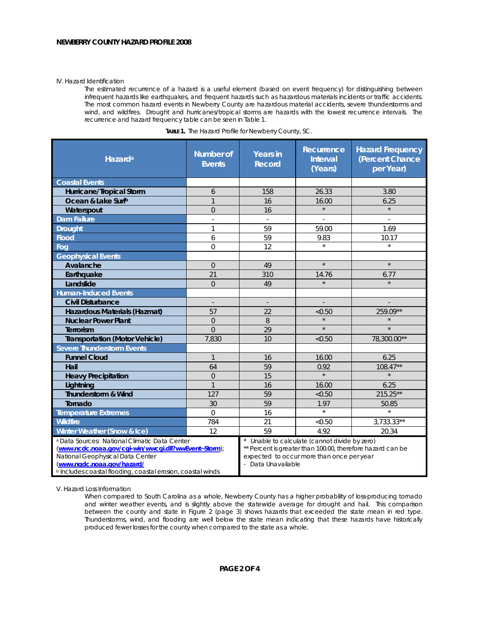## IV. Hazard Identification

The estimated recurrence of a hazard is a useful element (based on event frequency) for distinguishing between infrequent hazards like earthquakes, and frequent hazards such as hazardous materials incidents or traffic accidents. The most common hazard events in Newberry County are hazardous material accidents, severe thunderstorms and wind, and wildfires. Drought and hurricanes/tropical storms are hazards with the lowest recurrence intervals. The recurrence and hazard frequency table can be seen in Table 1.

| Hazard <sup>a</sup>                                                                                                                                                                                                                           | <b>Number of</b><br><b>Events</b> | <b>Years in</b><br><b>Record</b>                                                                                                                                             | Recurrence<br><b>Interval</b><br>(Years) | <b>Hazard Frequency</b><br>(Percent Chance<br>per Year) |
|-----------------------------------------------------------------------------------------------------------------------------------------------------------------------------------------------------------------------------------------------|-----------------------------------|------------------------------------------------------------------------------------------------------------------------------------------------------------------------------|------------------------------------------|---------------------------------------------------------|
| <b>Coastal Events</b>                                                                                                                                                                                                                         |                                   |                                                                                                                                                                              |                                          |                                                         |
| Hurricane/Tropical Storm                                                                                                                                                                                                                      | 6                                 | 158                                                                                                                                                                          | 26.33                                    | 3.80                                                    |
| Ocean & Lake Surfb                                                                                                                                                                                                                            | $\mathbf{1}$                      | 16                                                                                                                                                                           | 16.00                                    | 6.25                                                    |
| Waterspout                                                                                                                                                                                                                                    | $\overline{0}$                    | 16                                                                                                                                                                           | $\star$                                  | $\star$                                                 |
| <b>Dam Failure</b>                                                                                                                                                                                                                            |                                   |                                                                                                                                                                              |                                          |                                                         |
| <b>Drought</b>                                                                                                                                                                                                                                | 1                                 | 59                                                                                                                                                                           | 59.00                                    | 1.69                                                    |
| <b>Flood</b>                                                                                                                                                                                                                                  | 6                                 | 59                                                                                                                                                                           | 9.83                                     | 10.17                                                   |
| Fog                                                                                                                                                                                                                                           | $\overline{0}$                    | 12                                                                                                                                                                           | $\star$                                  | $\star$                                                 |
| <b>Geophysical Events</b>                                                                                                                                                                                                                     |                                   |                                                                                                                                                                              |                                          |                                                         |
| Avalanche                                                                                                                                                                                                                                     | $\overline{0}$                    | 49                                                                                                                                                                           | $\star$                                  | $\star$                                                 |
| Earthquake                                                                                                                                                                                                                                    | 21                                | 310                                                                                                                                                                          | 14.76                                    | 6.77                                                    |
| Landslide                                                                                                                                                                                                                                     | $\overline{0}$                    | 49                                                                                                                                                                           | $\star$                                  |                                                         |
| <b>Human-Induced Events</b>                                                                                                                                                                                                                   |                                   |                                                                                                                                                                              |                                          |                                                         |
| <b>Civil Disturbance</b>                                                                                                                                                                                                                      |                                   | $\overline{a}$                                                                                                                                                               |                                          |                                                         |
| Hazardous Materials (Hazmat)                                                                                                                                                                                                                  | 57                                | 22                                                                                                                                                                           | < 0.50                                   | 259.09**                                                |
| <b>Nuclear Power Plant</b>                                                                                                                                                                                                                    | $\overline{0}$                    | 8                                                                                                                                                                            | $\star$                                  |                                                         |
| <b>Terrorism</b>                                                                                                                                                                                                                              | $\Omega$                          | 29                                                                                                                                                                           | $\star$                                  | $\star$                                                 |
| <b>Transportation (Motor Vehicle)</b>                                                                                                                                                                                                         | 7,830                             | 10                                                                                                                                                                           | < 0.50                                   | 78,300.00**                                             |
| <b>Severe Thunderstorm Events</b>                                                                                                                                                                                                             |                                   |                                                                                                                                                                              |                                          |                                                         |
| <b>Funnel Cloud</b>                                                                                                                                                                                                                           | $\mathbf{1}$                      | 16                                                                                                                                                                           | 16.00                                    | 6.25                                                    |
| Hail                                                                                                                                                                                                                                          | 64                                | 59                                                                                                                                                                           | 0.92                                     | $108.47**$                                              |
| <b>Heavy Precipitation</b>                                                                                                                                                                                                                    | $\overline{0}$                    | 15                                                                                                                                                                           | $\star$                                  |                                                         |
| Lightning                                                                                                                                                                                                                                     | $\mathbf{1}$                      | 16                                                                                                                                                                           | 16.00                                    | 6.25                                                    |
| <b>Thunderstorm &amp; Wind</b>                                                                                                                                                                                                                | 127                               | 59                                                                                                                                                                           | < 0.50                                   | 215.25**                                                |
| Tornado                                                                                                                                                                                                                                       | 30                                | 59                                                                                                                                                                           | 1.97                                     | 50.85                                                   |
| <b>Temperature Extremes</b>                                                                                                                                                                                                                   | $\Omega$                          | 16                                                                                                                                                                           | $\star$                                  | $\star$                                                 |
| <b>Wildfire</b>                                                                                                                                                                                                                               | 784                               | 21                                                                                                                                                                           | < 0.50                                   | $3,733.33**$                                            |
| Winter Weather (Snow & Ice)                                                                                                                                                                                                                   | 12                                | 59                                                                                                                                                                           | 4.92                                     | 20.34                                                   |
| a Data Sources: National Climatic Data Center<br>(www.ncdc.noaa.gov/cgi-win/wwcgi.dll?wwEvent~Storm);<br>National Geophysical Data Center<br>(www.ngdc.noaa.gov/hazard/<br><b>b</b> Includes coastal flooding, coastal erosion, coastal winds |                                   | Unable to calculate (cannot divide by zero)<br>** Percent is greater than 100.00, therefore hazard can be<br>expected to occur more than once per year<br>- Data Unavailable |                                          |                                                         |

| TABLE 1. The Hazard Profile for Newberry County, SC. |  |
|------------------------------------------------------|--|
|------------------------------------------------------|--|

V. Hazard Loss Information

When compared to South Carolina as a whole, Newberry County has a higher probability of loss-producing tornado and winter weather events, and is slightly above the statewide average for drought and hail. This comparison between the county and state in Figure 2 (page 3) shows hazards that exceeded the state mean in red type. Thunderstorms, wind, and flooding are well below the state mean indicating that these hazards have historically produced fewer losses for the county when compared to the state as a whole.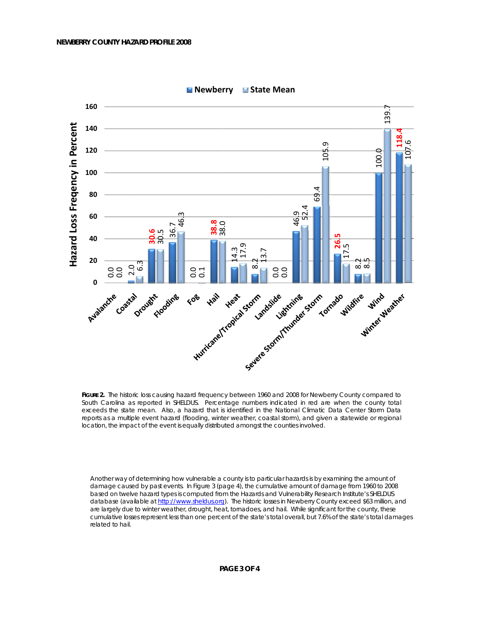

MINewberry MIState Mean

FIGURE 2. The historic loss causing hazard frequency between 1960 and 2008 for Newberry County compared to South Carolina as reported in SHELDUS. Percentage numbers indicated in red are when the county total exceeds the state mean. Also, a hazard that is identified in the National Climatic Data Center Storm Data reports as a multiple event hazard (flooding, winter weather, coastal storm), and given a statewide or regional location, the impact of the event is equally distributed amongst the counties involved.

Another way of determining how vulnerable a county is to particular hazards is by examining the amount of damage caused by past events. In Figure 3 (page 4), the cumulative amount of damage from 1960 to 2008 based on twelve hazard types is computed from the Hazards and Vulnerability Research Institute's SHELDUS database (available at http://www.sheldus.org). The historic losses in Newberry County exceed \$63 million, and are largely due to winter weather, drought, heat, tornadoes, and hail. While significant for the county, these cumulative losses represent less than one percent of the state's total overall, but 7.6% of the state's total damages related to hail.